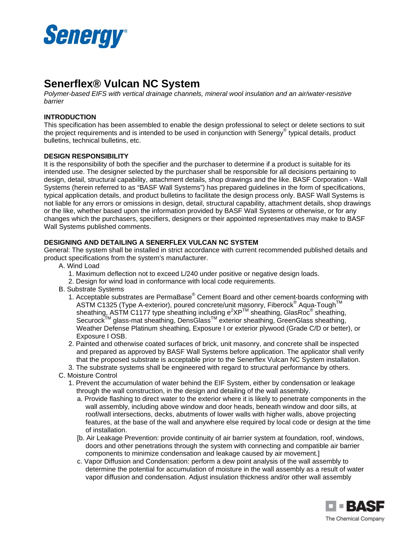

# **Senerflex® Vulcan NC System**

*Polymer-based EIFS with vertical drainage channels, mineral wool insulation and an air/water-resistive barrier* 

## **INTRODUCTION**

This specification has been assembled to enable the design professional to select or delete sections to suit the project requirements and is intended to be used in conjunction with Senergy® typical details, product bulletins, technical bulletins, etc.

### **DESIGN RESPONSIBILITY**

It is the responsibility of both the specifier and the purchaser to determine if a product is suitable for its intended use. The designer selected by the purchaser shall be responsible for all decisions pertaining to design, detail, structural capability, attachment details, shop drawings and the like. BASF Corporation - Wall Systems (herein referred to as "BASF Wall Systems") has prepared guidelines in the form of specifications, typical application details, and product bulletins to facilitate the design process only. BASF Wall Systems is not liable for any errors or omissions in design, detail, structural capability, attachment details, shop drawings or the like, whether based upon the information provided by BASF Wall Systems or otherwise, or for any changes which the purchasers, specifiers, designers or their appointed representatives may make to BASF Wall Systems published comments.

### **DESIGNING AND DETAILING A SENERFLEX VULCAN NC SYSTEM**

General: The system shall be installed in strict accordance with current recommended published details and product specifications from the system's manufacturer.

- A. Wind Load
	- 1. Maximum deflection not to exceed L/240 under positive or negative design loads.
	- 2. Design for wind load in conformance with local code requirements.
- B. Substrate Systems
	- 1. Acceptable substrates are PermaBase® Cement Board and other cement-boards conforming with ASTM C1325 (Type A-exterior), poured concrete/unit masonry, Fiberock® Aqua-Tough™ sheathing, ASTM C1177 type sheathing including  $e^{2}XP^{TM}$  sheathing, GlasRoc® sheathing, Securock™ glass-mat sheathing, DensGlass<sup>™</sup> exterior sheathing, GreenGlass sheathing, Weather Defense Platinum sheathing, Exposure I or exterior plywood (Grade C/D or better), or Exposure I OSB.
	- 2. Painted and otherwise coated surfaces of brick, unit masonry, and concrete shall be inspected and prepared as approved by BASF Wall Systems before application. The applicator shall verify that the proposed substrate is acceptable prior to the Senerflex Vulcan NC System installation.
	- 3. The substrate systems shall be engineered with regard to structural performance by others.
- C. Moisture Control
	- 1. Prevent the accumulation of water behind the EIF System, either by condensation or leakage through the wall construction, in the design and detailing of the wall assembly.
		- a. Provide flashing to direct water to the exterior where it is likely to penetrate components in the wall assembly, including above window and door heads, beneath window and door sills, at roof/wall intersections, decks, abutments of lower walls with higher walls, above projecting features, at the base of the wall and anywhere else required by local code or design at the time of installation.
		- [b. Air Leakage Prevention: provide continuity of air barrier system at foundation, roof, windows, doors and other penetrations through the system with connecting and compatible air barrier components to minimize condensation and leakage caused by air movement.]
		- c. Vapor Diffusion and Condensation: perform a dew point analysis of the wall assembly to determine the potential for accumulation of moisture in the wall assembly as a result of water vapor diffusion and condensation. Adjust insulation thickness and/or other wall assembly

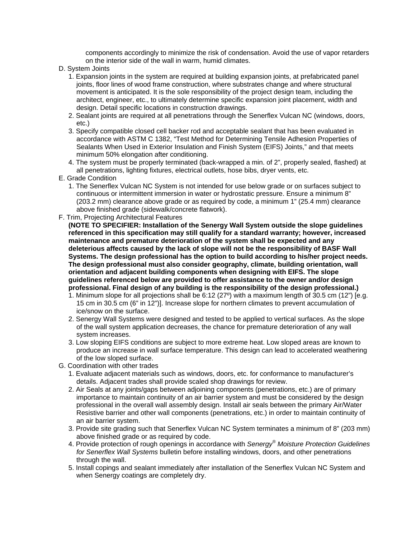components accordingly to minimize the risk of condensation. Avoid the use of vapor retarders on the interior side of the wall in warm, humid climates.

- D. System Joints
	- 1. Expansion joints in the system are required at building expansion joints, at prefabricated panel joints, floor lines of wood frame construction, where substrates change and where structural movement is anticipated. It is the sole responsibility of the project design team, including the architect, engineer, etc., to ultimately determine specific expansion joint placement, width and design. Detail specific locations in construction drawings.
	- 2. Sealant joints are required at all penetrations through the Senerflex Vulcan NC (windows, doors, etc.)
	- 3. Specify compatible closed cell backer rod and acceptable sealant that has been evaluated in accordance with ASTM C 1382, "Test Method for Determining Tensile Adhesion Properties of Sealants When Used in Exterior Insulation and Finish System (EIFS) Joints," and that meets minimum 50% elongation after conditioning.
	- 4. The system must be properly terminated (back-wrapped a min. of 2", properly sealed, flashed) at all penetrations, lighting fixtures, electrical outlets, hose bibs, dryer vents, etc.
- E. Grade Condition
	- 1. The Senerflex Vulcan NC System is not intended for use below grade or on surfaces subject to continuous or intermittent immersion in water or hydrostatic pressure. Ensure a minimum 8" (203.2 mm) clearance above grade or as required by code, a minimum 1" (25.4 mm) clearance above finished grade (sidewalk/concrete flatwork).
- F. Trim, Projecting Architectural Features

**(NOTE TO SPECIFIER: Installation of the Senergy Wall System outside the slope guidelines referenced in this specification may still qualify for a standard warranty; however, increased maintenance and premature deterioration of the system shall be expected and any deleterious affects caused by the lack of slope will not be the responsibility of BASF Wall Systems. The design professional has the option to build according to his/her project needs. The design professional must also consider geography, climate, building orientation, wall orientation and adjacent building components when designing with EIFS. The slope guidelines referenced below are provided to offer assistance to the owner and/or design professional. Final design of any building is the responsibility of the design professional.)** 

- 1. Minimum slope for all projections shall be 6:12 (27º) with a maximum length of 30.5 cm (12") [e.g. 15 cm in 30.5 cm (6" in 12")]. Increase slope for northern climates to prevent accumulation of ice/snow on the surface.
- 2. Senergy Wall Systems were designed and tested to be applied to vertical surfaces. As the slope of the wall system application decreases, the chance for premature deterioration of any wall system increases.
- 3. Low sloping EIFS conditions are subject to more extreme heat. Low sloped areas are known to produce an increase in wall surface temperature. This design can lead to accelerated weathering of the low sloped surface.
- G. Coordination with other trades
	- 1. Evaluate adjacent materials such as windows, doors, etc. for conformance to manufacturer's details. Adjacent trades shall provide scaled shop drawings for review.
	- 2. Air Seals at any joints/gaps between adjoining components (penetrations, etc.) are of primary importance to maintain continuity of an air barrier system and must be considered by the design professional in the overall wall assembly design. Install air seals between the primary Air/Water Resistive barrier and other wall components (penetrations, etc.) in order to maintain continuity of an air barrier system.
	- 3. Provide site grading such that Senerflex Vulcan NC System terminates a minimum of 8" (203 mm) above finished grade or as required by code.
	- 4. Provide protection of rough openings in accordance with *Senergy® Moisture Protection Guidelines for Senerflex Wall Systems* bulletin before installing windows, doors, and other penetrations through the wall.
	- 5. Install copings and sealant immediately after installation of the Senerflex Vulcan NC System and when Senergy coatings are completely dry.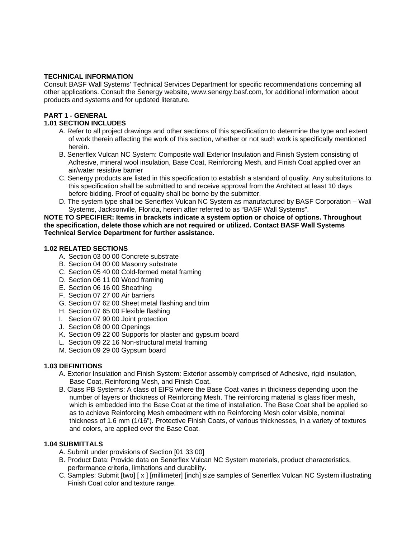## **TECHNICAL INFORMATION**

Consult BASF Wall Systems' Technical Services Department for specific recommendations concerning all other applications. Consult the Senergy website, www.senergy.basf.com, for additional information about products and systems and for updated literature.

## **PART 1 - GENERAL**

## **1.01 SECTION INCLUDES**

- A. Refer to all project drawings and other sections of this specification to determine the type and extent of work therein affecting the work of this section, whether or not such work is specifically mentioned herein.
- B. Senerflex Vulcan NC System: Composite wall Exterior Insulation and Finish System consisting of Adhesive, mineral wool insulation, Base Coat, Reinforcing Mesh, and Finish Coat applied over an air/water resistive barrier
- C. Senergy products are listed in this specification to establish a standard of quality. Any substitutions to this specification shall be submitted to and receive approval from the Architect at least 10 days before bidding. Proof of equality shall be borne by the submitter.
- D. The system type shall be Senerflex Vulcan NC System as manufactured by BASF Corporation Wall Systems, Jacksonville, Florida, herein after referred to as "BASF Wall Systems".

### **NOTE TO SPECIFIER: Items in brackets indicate a system option or choice of options. Throughout the specification, delete those which are not required or utilized. Contact BASF Wall Systems Technical Service Department for further assistance.**

## **1.02 RELATED SECTIONS**

- A. Section 03 00 00 Concrete substrate
- B. Section 04 00 00 Masonry substrate
- C. Section 05 40 00 Cold-formed metal framing
- D. Section 06 11 00 Wood framing
- E. Section 06 16 00 Sheathing
- F. Section 07 27 00 Air barriers
- G. Section 07 62 00 Sheet metal flashing and trim
- H. Section 07 65 00 Flexible flashing
- I. Section 07 90 00 Joint protection
- J. Section 08 00 00 Openings
- K. Section 09 22 00 Supports for plaster and gypsum board
- L. Section 09 22 16 Non-structural metal framing
- M. Section 09 29 00 Gypsum board

## **1.03 DEFINITIONS**

- A. Exterior Insulation and Finish System: Exterior assembly comprised of Adhesive, rigid insulation, Base Coat, Reinforcing Mesh, and Finish Coat.
- B. Class PB Systems: A class of EIFS where the Base Coat varies in thickness depending upon the number of layers or thickness of Reinforcing Mesh. The reinforcing material is glass fiber mesh, which is embedded into the Base Coat at the time of installation. The Base Coat shall be applied so as to achieve Reinforcing Mesh embedment with no Reinforcing Mesh color visible, nominal thickness of 1.6 mm (1/16"). Protective Finish Coats, of various thicknesses, in a variety of textures and colors, are applied over the Base Coat.

## **1.04 SUBMITTALS**

- A. Submit under provisions of Section [01 33 00]
- B. Product Data: Provide data on Senerflex Vulcan NC System materials, product characteristics, performance criteria, limitations and durability.
- C. Samples: Submit [two] [ x ] [millimeter] [inch] size samples of Senerflex Vulcan NC System illustrating Finish Coat color and texture range.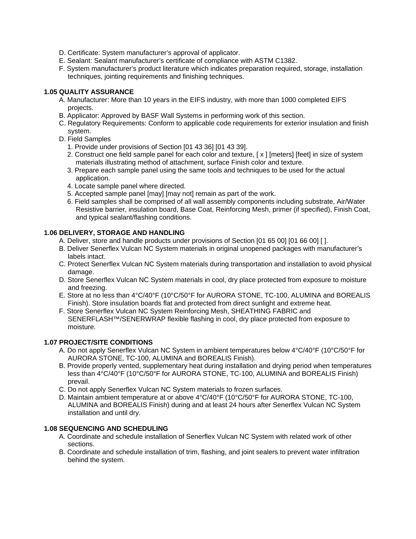- D. Certificate: System manufacturer's approval of applicator.
- E. Sealant: Sealant manufacturer's certificate of compliance with ASTM C1382.
- F. System manufacturer's product literature which indicates preparation required, storage, installation techniques, jointing requirements and finishing techniques.

## **1.05 QUALITY ASSURANCE**

- A. Manufacturer: More than 10 years in the EIFS industry, with more than 1000 completed EIFS projects.
- B. Applicator: Approved by BASF Wall Systems in performing work of this section.
- C. Regulatory Requirements: Conform to applicable code requirements for exterior insulation and finish system.
- D. Field Samples
	- 1. Provide under provisions of Section [01 43 36] [01 43 39].
	- 2. Construct one field sample panel for each color and texture, [ x ] [meters] [feet] in size of system materials illustrating method of attachment, surface Finish color and texture.
	- 3. Prepare each sample panel using the same tools and techniques to be used for the actual application.
	- 4. Locate sample panel where directed.
	- 5. Accepted sample panel [may] [may not] remain as part of the work.
	- 6. Field samples shall be comprised of all wall assembly components including substrate, Air/Water Resistive barrier, insulation board, Base Coat, Reinforcing Mesh, primer (if specified), Finish Coat, and typical sealant/flashing conditions.

## **1.06 DELIVERY, STORAGE AND HANDLING**

- A. Deliver, store and handle products under provisions of Section [01 65 00] [01 66 00] [ ].
- B. Deliver Senerflex Vulcan NC System materials in original unopened packages with manufacturer's labels intact.
- C. Protect Senerflex Vulcan NC System materials during transportation and installation to avoid physical damage.
- D. Store Senerflex Vulcan NC System materials in cool, dry place protected from exposure to moisture and freezing.
- E. Store at no less than 4°C/40°F (10°C/50°F for AURORA STONE, TC-100, ALUMINA and BOREALIS Finish). Store insulation boards flat and protected from direct sunlight and extreme heat.
- F. Store Senerflex Vulcan NC System Reinforcing Mesh, SHEATHING FABRIC and SENERFLASH™/SENERWRAP flexible flashing in cool, dry place protected from exposure to moisture.

## **1.07 PROJECT/SITE CONDITIONS**

- A. Do not apply Senerflex Vulcan NC System in ambient temperatures below 4°C/40°F (10°C/50°F for AURORA STONE, TC-100, ALUMINA and BOREALIS Finish).
- B. Provide properly vented, supplementary heat during installation and drying period when temperatures less than 4°C/40°F (10°C/50°F for AURORA STONE, TC-100, ALUMINA and BOREALIS Finish) prevail.
- C. Do not apply Senerflex Vulcan NC System materials to frozen surfaces.
- D. Maintain ambient temperature at or above 4°C/40°F (10°C/50°F for AURORA STONE, TC-100, ALUMINA and BOREALIS Finish) during and at least 24 hours after Senerflex Vulcan NC System installation and until dry.

## **1.08 SEQUENCING AND SCHEDULING**

- A. Coordinate and schedule installation of Senerflex Vulcan NC System with related work of other sections.
- B. Coordinate and schedule installation of trim, flashing, and joint sealers to prevent water infiltration behind the system.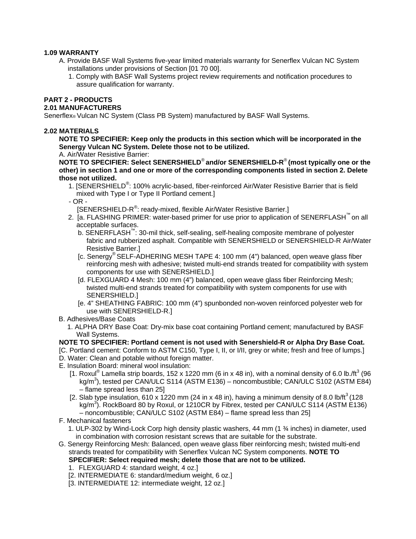## **1.09 WARRANTY**

- A. Provide BASF Wall Systems five-year limited materials warranty for Senerflex Vulcan NC System installations under provisions of Section [01 70 00].
	- 1. Comply with BASF Wall Systems project review requirements and notification procedures to assure qualification for warranty.

# **PART 2 - PRODUCTS**

## **2.01 MANUFACTURERS**

Senerflex® Vulcan NC System (Class PB System) manufactured by BASF Wall Systems.

### **2.02 MATERIALS**

**NOTE TO SPECIFIER: Keep only the products in this section which will be incorporated in the Senergy Vulcan NC System. Delete those not to be utilized.** 

A. Air/Water Resistive Barrier:

**NOTE TO SPECIFIER: Select SENERSHIELD**® **and/or SENERSHIELD-R**® **(most typically one or the other) in section 1 and one or more of the corresponding components listed in section 2. Delete those not utilized.** 

- 1. [SENERSHIELD<sup>®</sup>: 100% acrylic-based, fiber-reinforced Air/Water Resistive Barrier that is field mixed with Type I or Type II Portland cement.]
- OR -

[SENERSHIELD-R<sup>®</sup>: ready-mixed, flexible Air/Water Resistive Barrier.]

- 2. [a. FLASHING PRIMER: water-based primer for use prior to application of SENERFLASH™ on all acceptable surfaces.
	- b. SENERFLASH™: 30-mil thick, self-sealing, self-healing composite membrane of polyester fabric and rubberized asphalt. Compatible with SENERSHIELD or SENERSHIELD-R Air/Water Resistive Barrier.]
	- [c. Senergy® SELF-ADHERING MESH TAPE 4: 100 mm (4") balanced, open weave glass fiber reinforcing mesh with adhesive; twisted multi-end strands treated for compatibility with system components for use with SENERSHIELD.]
	- [d. FLEXGUARD 4 Mesh: 100 mm (4") balanced, open weave glass fiber Reinforcing Mesh; twisted multi-end strands treated for compatibility with system components for use with SENERSHIELD.]
	- [e. 4" SHEATHING FABRIC: 100 mm (4") spunbonded non-woven reinforced polyester web for use with SENERSHIELD-R.]
- B. Adhesives/Base Coats
	- 1. ALPHA DRY Base Coat: Dry-mix base coat containing Portland cement; manufactured by BASF Wall Systems.

### **NOTE TO SPECIFIER: Portland cement is not used with Senershield-R or Alpha Dry Base Coat.**

[C. Portland cement: Conform to ASTM C150, Type I, II, or I/II, grey or white; fresh and free of lumps.] D. Water: Clean and potable without foreign matter.

- 
- E. Insulation Board: mineral wool insulation:
	- [1. Roxul<sup>®</sup> Lamella strip boards, 152 x 1220 mm (6 in x 48 in), with a nominal density of 6.0 lb./ft<sup>3</sup> (96 kg/m<sup>3</sup>), tested per CAN/ULC S114 (ASTM E136) – noncombustible; CAN/ULC S102 (ASTM E84) – flame spread less than 25]
	- [2. Slab type insulation, 610 x 1220 mm (24 in x 48 in), having a minimum density of 8.0 lb/ft<sup>3</sup> (128 kg/m<sup>3</sup>). RockBoard 80 by Roxul, or 1210CR by Fibrex, tested per CAN/ULC S114 (ASTM E136) – noncombustible; CAN/ULC S102 (ASTM E84) – flame spread less than 25]
- F. Mechanical fasteners
	- 1. ULP-302 by Wind-Lock Corp high density plastic washers, 44 mm (1 ¾ inches) in diameter, used in combination with corrosion resistant screws that are suitable for the substrate.
- G. Senergy Reinforcing Mesh: Balanced, open weave glass fiber reinforcing mesh; twisted multi-end strands treated for compatibility with Senerflex Vulcan NC System components. **NOTE TO SPECIFIER: Select required mesh; delete those that are not to be utilized.** 
	- 1. FLEXGUARD 4: standard weight, 4 oz.]
	- [2. INTERMEDIATE 6: standard/medium weight, 6 oz.]
	- [3. INTERMEDIATE 12: intermediate weight, 12 oz.]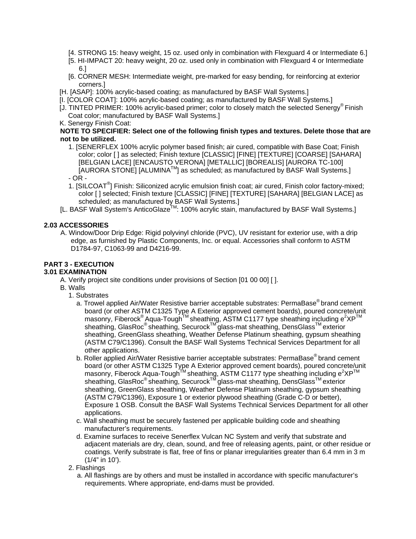- [4. STRONG 15: heavy weight, 15 oz. used only in combination with Flexguard 4 or Intermediate 6.]
- [5. HI-IMPACT 20: heavy weight, 20 oz. used only in combination with Flexguard 4 or Intermediate 6.]
- [6. CORNER MESH: Intermediate weight, pre-marked for easy bending, for reinforcing at exterior corners.]
- [H. [ASAP]: 100% acrylic-based coating; as manufactured by BASF Wall Systems.]
- [I. [COLOR COAT]: 100% acrylic-based coating; as manufactured by BASF Wall Systems.]
- [J. TINTED PRIMER: 100% acrylic-based primer; color to closely match the selected Senergy® Finish Coat color; manufactured by BASF Wall Systems.]
- K. Senergy Finish Coat:

### **NOTE TO SPECIFIER: Select one of the following finish types and textures. Delete those that are not to be utilized.**

- 1. [SENERFLEX 100% acrylic polymer based finish; air cured, compatible with Base Coat; Finish color; color [ ] as selected; Finish texture [CLASSIC] [FINE] [TEXTURE] [COARSE] [SAHARA] [BELGIAN LACE] [ENCAUSTO VERONA] [METALLIC] [BOREALIS] [AURORA TC-100]  $[ALURORA$  STONE]  $[ALUMINA<sup>TM</sup>]$  as scheduled; as manufactured by BASF Wall Systems.] - OR -
- 1. [SILCOAT<sup>®</sup>] Finish: Siliconized acrylic emulsion finish coat; air cured, Finish color factory-mixed; color [ ] selected; Finish texture [CLASSIC] [FINE] [TEXTURE] [SAHARA] [BELGIAN LACE] as scheduled; as manufactured by BASF Wall Systems.]
- [L. BASF Wall System's AnticoGlaze™: 100% acrylic stain, manufactured by BASF Wall Systems.]

## **2.03 ACCESSORIES**

A. Window/Door Drip Edge: Rigid polyvinyl chloride (PVC), UV resistant for exterior use, with a drip edge, as furnished by Plastic Components, Inc. or equal. Accessories shall conform to ASTM D1784-97, C1063-99 and D4216-99.

## **PART 3 - EXECUTION**

## **3.01 EXAMINATION**

- A. Verify project site conditions under provisions of Section [01 00 00] [ ].
- B. Walls
	- 1. Substrates
		- a. Trowel applied Air/Water Resistive barrier acceptable substrates: PermaBase® brand cement board (or other ASTM C1325 Type A Exterior approved cement boards), poured concrete/unit masonry, Fiberock® Aqua-Tough™ sheathing, ASTM C1177 type sheathing including e<sup>2</sup>XP<sup>™</sup> sheathing, GlasRoc® sheathing, Securock™ glass-mat sheathing, DensGlass™ exterior sheathing, GreenGlass sheathing, Weather Defense Platinum sheathing, gypsum sheathing (ASTM C79/C1396). Consult the BASF Wall Systems Technical Services Department for all other applications.
		- b. Roller applied Air/Water Resistive barrier acceptable substrates: PermaBase® brand cement board (or other ASTM C1325 Type A Exterior approved cement boards), poured concrete/unit masonry, Fiberock Aqua-Tough<sup>™</sup> sheathing, ASTM C1177 type sheathing including e<sup>2</sup>XP<sup>™</sup> niasoniy, Fiberock Aqua-Tought Sheathing, No. 11. Co. 11. Government Sheathing, DensGlass<sup>TM</sup> exterior sheathing, GreenGlass sheathing, Weather Defense Platinum sheathing, gypsum sheathing (ASTM C79/C1396), Exposure 1 or exterior plywood sheathing (Grade C-D or better), Exposure 1 OSB. Consult the BASF Wall Systems Technical Services Department for all other applications.
		- c. Wall sheathing must be securely fastened per applicable building code and sheathing manufacturer's requirements.
		- d. Examine surfaces to receive Senerflex Vulcan NC System and verify that substrate and adjacent materials are dry, clean, sound, and free of releasing agents, paint, or other residue or coatings. Verify substrate is flat, free of fins or planar irregularities greater than 6.4 mm in 3 m (1/4" in 10').
	- 2. Flashings
		- a. All flashings are by others and must be installed in accordance with specific manufacturer's requirements. Where appropriate, end-dams must be provided.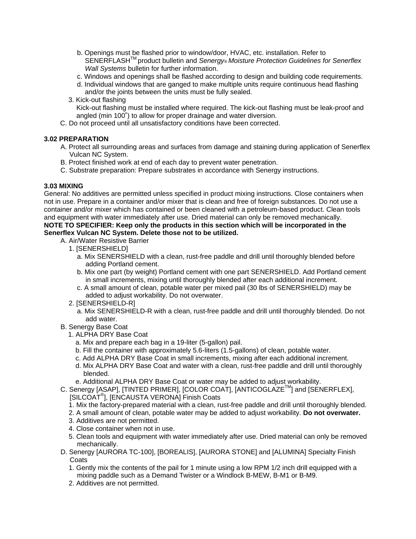- b. Openings must be flashed prior to window/door, HVAC, etc. installation. Refer to SENERFLASH<sup>™</sup> product bulletin and Senergy® Moisture Protection Guidelines for Senerflex *Wall Systems* bulletin for further information.
- c. Windows and openings shall be flashed according to design and building code requirements.
- d. Individual windows that are ganged to make multiple units require continuous head flashing and/or the joints between the units must be fully sealed.
- 3. Kick-out flashing Kick-out flashing must be installed where required. The kick-out flashing must be leak-proof and angled (min 100˚) to allow for proper drainage and water diversion.
- C. Do not proceed until all unsatisfactory conditions have been corrected.

## **3.02 PREPARATION**

- A. Protect all surrounding areas and surfaces from damage and staining during application of Senerflex Vulcan NC System.
- B. Protect finished work at end of each day to prevent water penetration.
- C. Substrate preparation: Prepare substrates in accordance with Senergy instructions.

## **3.03 MIXING**

General: No additives are permitted unless specified in product mixing instructions. Close containers when not in use. Prepare in a container and/or mixer that is clean and free of foreign substances. Do not use a container and/or mixer which has contained or been cleaned with a petroleum-based product. Clean tools and equipment with water immediately after use. Dried material can only be removed mechanically.

## **NOTE TO SPECIFIER: Keep only the products in this section which will be incorporated in the Senerflex Vulcan NC System. Delete those not to be utilized.**

- A. Air/Water Resistive Barrier
	- 1. [SENERSHIELD]
		- a. Mix SENERSHIELD with a clean, rust-free paddle and drill until thoroughly blended before adding Portland cement.
		- b. Mix one part (by weight) Portland cement with one part SENERSHIELD. Add Portland cement in small increments, mixing until thoroughly blended after each additional increment.
		- c. A small amount of clean, potable water per mixed pail (30 lbs of SENERSHIELD) may be added to adjust workability. Do not overwater.
	- 2. [SENERSHIELD-R]
		- a. Mix SENERSHIELD-R with a clean, rust-free paddle and drill until thoroughly blended. Do not add water.
- B. Senergy Base Coat
	- 1. ALPHA DRY Base Coat
		- a. Mix and prepare each bag in a 19-liter (5-gallon) pail.
		- b. Fill the container with approximately 5.6-liters (1.5-gallons) of clean, potable water.
		- c. Add ALPHA DRY Base Coat in small increments, mixing after each additional increment.
		- d. Mix ALPHA DRY Base Coat and water with a clean, rust-free paddle and drill until thoroughly blended.
		- e. Additional ALPHA DRY Base Coat or water may be added to adjust workability.
- C. Senergy [ASAP], [TINTED PRIMER], [COLOR COAT], [ANTICOGLAZE™] and [SENERFLEX], [SILCOAT® ], [ENCAUSTA VERONA] Finish Coats
	- 1. Mix the factory-prepared material with a clean, rust-free paddle and drill until thoroughly blended.
	- 2. A small amount of clean, potable water may be added to adjust workability. **Do not overwater.**
	- 3. Additives are not permitted.
	- 4. Close container when not in use.
	- 5. Clean tools and equipment with water immediately after use. Dried material can only be removed mechanically.
- D. Senergy [AURORA TC-100], [BOREALIS], [AURORA STONE] and [ALUMINA] Specialty Finish **Coats** 
	- 1. Gently mix the contents of the pail for 1 minute using a low RPM 1/2 inch drill equipped with a mixing paddle such as a Demand Twister or a Windlock B-MEW, B-M1 or B-M9.
	- 2. Additives are not permitted.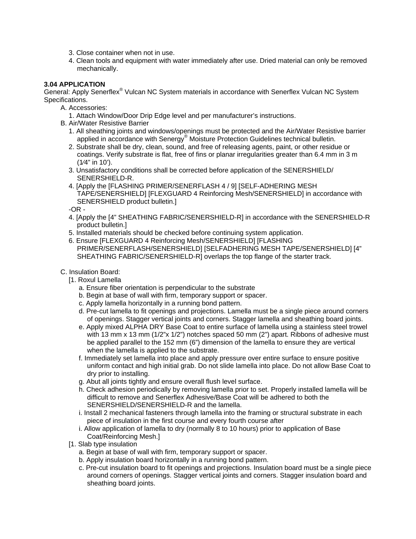- 3. Close container when not in use.
- 4. Clean tools and equipment with water immediately after use. Dried material can only be removed mechanically.

## **3.04 APPLICATION**

General: Apply Senerflex<sup>®</sup> Vulcan NC System materials in accordance with Senerflex Vulcan NC System Specifications.

- A. Accessories:
	- 1. Attach Window/Door Drip Edge level and per manufacturer's instructions.
- B. Air/Water Resistive Barrier
	- 1. All sheathing joints and windows/openings must be protected and the Air/Water Resistive barrier applied in accordance with Senergy® Moisture Protection Guidelines technical bulletin.
	- 2. Substrate shall be dry, clean, sound, and free of releasing agents, paint, or other residue or coatings. Verify substrate is flat, free of fins or planar irregularities greater than 6.4 mm in 3 m (1⁄4" in 10').
	- 3. Unsatisfactory conditions shall be corrected before application of the SENERSHIELD/ SENERSHIELD-R.
	- 4. [Apply the [FLASHING PRIMER/SENERFLASH 4 / 9] [SELF-ADHERING MESH TAPE/SENERSHIELD] [FLEXGUARD 4 Reinforcing Mesh/SENERSHIELD] in accordance with SENERSHIELD product bulletin.]

-OR -

- 4. [Apply the [4" SHEATHING FABRIC/SENERSHIELD-R] in accordance with the SENERSHIELD-R product bulletin.]
- 5. Installed materials should be checked before continuing system application.
- 6. Ensure [FLEXGUARD 4 Reinforcing Mesh/SENERSHIELD] [FLASHING PRIMER/SENERFLASH/SENERSHIELD] [SELFADHERING MESH TAPE/SENERSHIELD] [4" SHEATHING FABRIC/SENERSHIELD-R] overlaps the top flange of the starter track.
- C. Insulation Board:
	- [1. Roxul Lamella
		- a. Ensure fiber orientation is perpendicular to the substrate
		- b. Begin at base of wall with firm, temporary support or spacer.
		- c. Apply lamella horizontally in a running bond pattern.
		- d. Pre-cut lamella to fit openings and projections. Lamella must be a single piece around corners of openings. Stagger vertical joints and corners. Stagger lamella and sheathing board joints.
		- e. Apply mixed ALPHA DRY Base Coat to entire surface of lamella using a stainless steel trowel with 13 mm x 13 mm (1/2"x 1/2") notches spaced 50 mm (2") apart. Ribbons of adhesive must be applied parallel to the 152 mm (6") dimension of the lamella to ensure they are vertical when the lamella is applied to the substrate.
		- f. Immediately set lamella into place and apply pressure over entire surface to ensure positive uniform contact and high initial grab. Do not slide lamella into place. Do not allow Base Coat to dry prior to installing.
		- g. Abut all joints tightly and ensure overall flush level surface.
		- h. Check adhesion periodically by removing lamella prior to set. Properly installed lamella will be difficult to remove and Senerflex Adhesive/Base Coat will be adhered to both the SENERSHIELD/SENERSHIELD-R and the lamella.
		- i. Install 2 mechanical fasteners through lamella into the framing or structural substrate in each piece of insulation in the first course and every fourth course after
		- i. Allow application of lamella to dry (normally 8 to 10 hours) prior to application of Base Coat/Reinforcing Mesh.]
	- [1. Slab type insulation
		- a. Begin at base of wall with firm, temporary support or spacer.
		- b. Apply insulation board horizontally in a running bond pattern.
		- c. Pre-cut insulation board to fit openings and projections. Insulation board must be a single piece around corners of openings. Stagger vertical joints and corners. Stagger insulation board and sheathing board joints.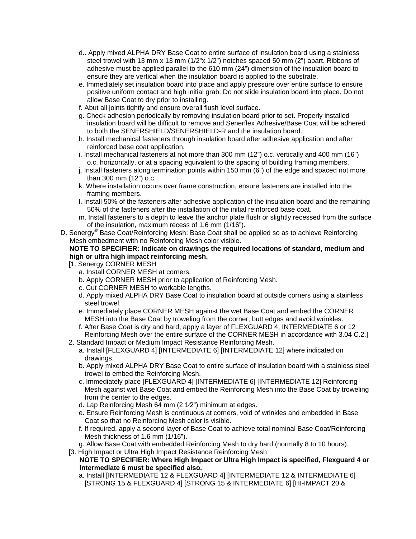- d.. Apply mixed ALPHA DRY Base Coat to entire surface of insulation board using a stainless steel trowel with 13 mm x 13 mm (1/2"x 1/2") notches spaced 50 mm (2") apart. Ribbons of adhesive must be applied parallel to the 610 mm (24") dimension of the insulation board to ensure they are vertical when the insulation board is applied to the substrate.
- e. Immediately set insulation board into place and apply pressure over entire surface to ensure positive uniform contact and high initial grab. Do not slide insulation board into place. Do not allow Base Coat to dry prior to installing.
- f. Abut all joints tightly and ensure overall flush level surface.
- g. Check adhesion periodically by removing insulation board prior to set. Properly installed insulation board will be difficult to remove and Senerflex Adhesive/Base Coat will be adhered to both the SENERSHIELD/SENERSHIELD-R and the insulation board.
- h. Install mechanical fasteners through insulation board after adhesive application and after reinforced base coat application.
- i. Install mechanical fasteners at not more than 300 mm (12") o.c. vertically and 400 mm (16") o.c. horizontally, or at a spacing equivalent to the spacing of building framing members.
- j. Install fasteners along termination points within 150 mm (6") of the edge and spaced not more than 300 mm (12") o.c.
- k. Where installation occurs over frame construction, ensure fasteners are installed into the framing members.
- l. Install 50% of the fasteners after adhesive application of the insulation board and the remaining 50% of the fasteners after the installation of the initial reinforced base coat.
- m. Install fasteners to a depth to leave the anchor plate flush or slightly recessed from the surface of the insulation, maximum recess of 1.6 mm (1/16").
- D. Senergy<sup>®</sup> Base Coat/Reinforcing Mesh: Base Coat shall be applied so as to achieve Reinforcing Mesh embedment with no Reinforcing Mesh color visible.

## **NOTE TO SPECIFIER: Indicate on drawings the required locations of standard, medium and high or ultra high impact reinforcing mesh.**

- [1. Senergy CORNER MESH
	- a. Install CORNER MESH at corners.
	- b. Apply CORNER MESH prior to application of Reinforcing Mesh.
	- c. Cut CORNER MESH to workable lengths.
	- d. Apply mixed ALPHA DRY Base Coat to insulation board at outside corners using a stainless steel trowel.
	- e. Immediately place CORNER MESH against the wet Base Coat and embed the CORNER MESH into the Base Coat by troweling from the corner; butt edges and avoid wrinkles.
	- f. After Base Coat is dry and hard, apply a layer of FLEXGUARD 4, INTERMEDIATE 6 or 12 Reinforcing Mesh over the entire surface of the CORNER MESH in accordance with 3.04 C.2.]
- 2. Standard Impact or Medium Impact Resistance Reinforcing Mesh.
	- a. Install [FLEXGUARD 4] [INTERMEDIATE 6] [INTERMEDIATE 12] where indicated on drawings.
	- b. Apply mixed ALPHA DRY Base Coat to entire surface of insulation board with a stainless steel trowel to embed the Reinforcing Mesh.
	- c. Immediately place [FLEXGUARD 4] [INTERMEDIATE 6] [INTERMEDIATE 12] Reinforcing Mesh against wet Base Coat and embed the Reinforcing Mesh into the Base Coat by troweling from the center to the edges.
	- d. Lap Reinforcing Mesh 64 mm (2 1⁄2") minimum at edges.
	- e. Ensure Reinforcing Mesh is continuous at corners, void of wrinkles and embedded in Base Coat so that no Reinforcing Mesh color is visible.
	- f. If required, apply a second layer of Base Coat to achieve total nominal Base Coat/Reinforcing Mesh thickness of 1.6 mm (1/16").
	- g. Allow Base Coat with embedded Reinforcing Mesh to dry hard (normally 8 to 10 hours).
- [3. High Impact or Ultra High Impact Resistance Reinforcing Mesh

## **NOTE TO SPECIFIER: Where High Impact or Ultra High Impact is specified, Flexguard 4 or Intermediate 6 must be specified also.**

a. Install [INTERMEDIATE 12 & FLEXGUARD 4] [INTERMEDIATE 12 & INTERMEDIATE 6] [STRONG 15 & FLEXGUARD 4] [STRONG 15 & INTERMEDIATE 6] [HI-IMPACT 20 &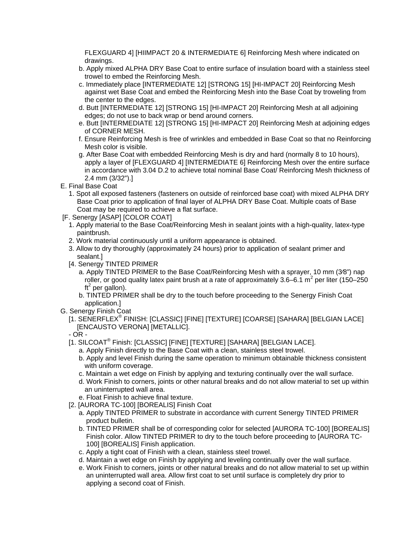FLEXGUARD 4] [HIIMPACT 20 & INTERMEDIATE 6] Reinforcing Mesh where indicated on drawings.

- b. Apply mixed ALPHA DRY Base Coat to entire surface of insulation board with a stainless steel trowel to embed the Reinforcing Mesh.
- c. Immediately place [INTERMEDIATE 12] [STRONG 15] [HI-IMPACT 20] Reinforcing Mesh against wet Base Coat and embed the Reinforcing Mesh into the Base Coat by troweling from the center to the edges.
- d. Butt [INTERMEDIATE 12] [STRONG 15] [HI-IMPACT 20] Reinforcing Mesh at all adjoining edges; do not use to back wrap or bend around corners.
- e. Butt [INTERMEDIATE 12] [STRONG 15] [HI-IMPACT 20] Reinforcing Mesh at adjoining edges of CORNER MESH.
- f. Ensure Reinforcing Mesh is free of wrinkles and embedded in Base Coat so that no Reinforcing Mesh color is visible.
- g. After Base Coat with embedded Reinforcing Mesh is dry and hard (normally 8 to 10 hours), apply a layer of [FLEXGUARD 4] [INTERMEDIATE 6] Reinforcing Mesh over the entire surface in accordance with 3.04 D.2 to achieve total nominal Base Coat/ Reinforcing Mesh thickness of 2.4 mm (3/32").]
- E. Final Base Coat
	- 1. Spot all exposed fasteners (fasteners on outside of reinforced base coat) with mixed ALPHA DRY Base Coat prior to application of final layer of ALPHA DRY Base Coat. Multiple coats of Base Coat may be required to achieve a flat surface.
- [F. Senergy [ASAP] [COLOR COAT]
	- 1. Apply material to the Base Coat/Reinforcing Mesh in sealant joints with a high-quality, latex-type paintbrush.
	- 2. Work material continuously until a uniform appearance is obtained.
	- 3. Allow to dry thoroughly (approximately 24 hours) prior to application of sealant primer and sealant.]
	- [4. Senergy TINTED PRIMER
		- a. Apply TINTED PRIMER to the Base Coat/Reinforcing Mesh with a sprayer, 10 mm (3⁄8") nap roller, or good quality latex paint brush at a rate of approximately 3.6–6.1  $m^2$  per liter (150–250 ft<sup>2</sup> per gallon).
		- b. TINTED PRIMER shall be dry to the touch before proceeding to the Senergy Finish Coat application.]
- G. Senergy Finish Coat
	- [1. SENERFLEX® FINISH: [CLASSIC] [FINE] [TEXTURE] [COARSE] [SAHARA] [BELGIAN LACE] [ENCAUSTO VERONA] [METALLIC].
	- OR -
	- [1. SILCOAT® Finish: [CLASSIC] [FINE] [TEXTURE] [SAHARA] [BELGIAN LACE].
		- a. Apply Finish directly to the Base Coat with a clean, stainless steel trowel.
		- b. Apply and level Finish during the same operation to minimum obtainable thickness consistent with uniform coverage.
		- c. Maintain a wet edge on Finish by applying and texturing continually over the wall surface.
		- d. Work Finish to corners, joints or other natural breaks and do not allow material to set up within an uninterrupted wall area.
		- e. Float Finish to achieve final texture.
	- [2. [AURORA TC-100] [BOREALIS] Finish Coat
		- a. Apply TINTED PRIMER to substrate in accordance with current Senergy TINTED PRIMER product bulletin.
		- b. TINTED PRIMER shall be of corresponding color for selected [AURORA TC-100] [BOREALIS] Finish color. Allow TINTED PRIMER to dry to the touch before proceeding to [AURORA TC-100] [BOREALIS] Finish application.
		- c. Apply a tight coat of Finish with a clean, stainless steel trowel.
		- d. Maintain a wet edge on Finish by applying and leveling continually over the wall surface.
		- e. Work Finish to corners, joints or other natural breaks and do not allow material to set up within an uninterrupted wall area. Allow first coat to set until surface is completely dry prior to applying a second coat of Finish.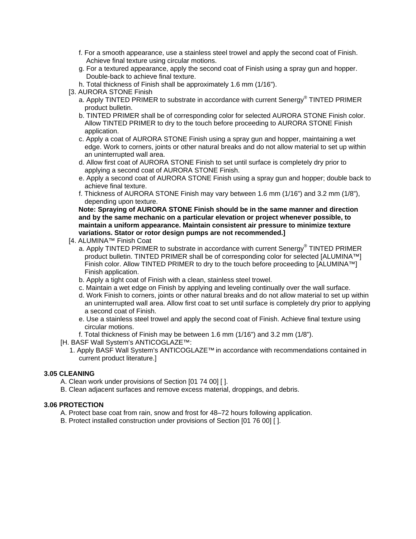- f. For a smooth appearance, use a stainless steel trowel and apply the second coat of Finish. Achieve final texture using circular motions.
- g. For a textured appearance, apply the second coat of Finish using a spray gun and hopper. Double-back to achieve final texture.
- h. Total thickness of Finish shall be approximately 1.6 mm (1/16").
- [3. AURORA STONE Finish
	- a. Apply TINTED PRIMER to substrate in accordance with current Senergy® TINTED PRIMER product bulletin.
	- b. TINTED PRIMER shall be of corresponding color for selected AURORA STONE Finish color. Allow TINTED PRIMER to dry to the touch before proceeding to AURORA STONE Finish application.
	- c. Apply a coat of AURORA STONE Finish using a spray gun and hopper, maintaining a wet edge. Work to corners, joints or other natural breaks and do not allow material to set up within an uninterrupted wall area.
	- d. Allow first coat of AURORA STONE Finish to set until surface is completely dry prior to applying a second coat of AURORA STONE Finish.
	- e. Apply a second coat of AURORA STONE Finish using a spray gun and hopper; double back to achieve final texture.
	- f. Thickness of AURORA STONE Finish may vary between 1.6 mm (1/16") and 3.2 mm (1/8"), depending upon texture.

**Note: Spraying of AURORA STONE Finish should be in the same manner and direction and by the same mechanic on a particular elevation or project whenever possible, to maintain a uniform appearance. Maintain consistent air pressure to minimize texture variations. Stator or rotor design pumps are not recommended.]** 

- [4. ALUMINA™ Finish Coat
	- a. Apply TINTED PRIMER to substrate in accordance with current Senergy® TINTED PRIMER product bulletin. TINTED PRIMER shall be of corresponding color for selected [ALUMINA™] Finish color. Allow TINTED PRIMER to dry to the touch before proceeding to [ALUMINA™] Finish application.
	- b. Apply a tight coat of Finish with a clean, stainless steel trowel.
	- c. Maintain a wet edge on Finish by applying and leveling continually over the wall surface.
	- d. Work Finish to corners, joints or other natural breaks and do not allow material to set up within an uninterrupted wall area. Allow first coat to set until surface is completely dry prior to applying a second coat of Finish.
	- e. Use a stainless steel trowel and apply the second coat of Finish. Achieve final texture using circular motions.
	- f. Total thickness of Finish may be between 1.6 mm (1/16") and 3.2 mm (1/8").
- [H. BASF Wall System's ANTICOGLAZE™:
	- 1. Apply BASF Wall System's ANTICOGLAZE™ in accordance with recommendations contained in current product literature.]

### **3.05 CLEANING**

- A. Clean work under provisions of Section [01 74 00] [ ].
- B. Clean adjacent surfaces and remove excess material, droppings, and debris.

## **3.06 PROTECTION**

- A. Protect base coat from rain, snow and frost for 48–72 hours following application.
- B. Protect installed construction under provisions of Section [01 76 00] [ ].